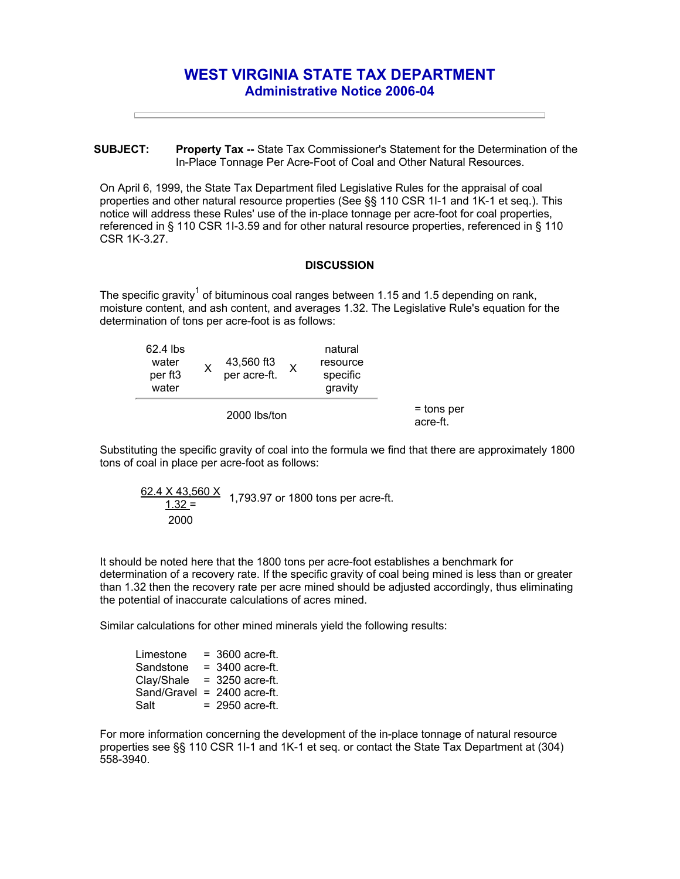## **WEST VIRGINIA STATE TAX DEPARTMENT Administrative Notice 2006-04**

**SUBJECT: Property Tax --** State Tax Commissioner's Statement for the Determination of the In-Place Tonnage Per Acre-Foot of Coal and Other Natural Resources.

On April 6, 1999, the State Tax Department filed Legislative Rules for the appraisal of coal properties and other natural resource properties (See §§ 110 CSR 1I-1 and 1K-1 et seq.). This notice will address these Rules' use of the in-place tonnage per acre-foot for coal properties, referenced in § 110 CSR 1I-3.59 and for other natural resource properties, referenced in § 110 CSR 1K-3.27.

## **DISCUSSION**

The specific gravity<sup>1</sup> of bituminous coal ranges between 1.15 and 1.5 depending on rank, moisture content, and ash content, and averages 1.32. The Legislative Rule's equation for the determination of tons per acre-foot is as follows:

| 62.4 lbs<br>water<br>per ft <sub>3</sub><br>water |  | 43,560 ft3<br>per acre-ft. |  | natural<br>resource<br>specific<br>gravity |                          |
|---------------------------------------------------|--|----------------------------|--|--------------------------------------------|--------------------------|
| 2000 lbs/ton                                      |  |                            |  |                                            | $=$ tons per<br>acre-ft. |

Substituting the specific gravity of coal into the formula we find that there are approximately 1800 tons of coal in place per acre-foot as follows:

$$
\frac{62.4 \times 43,560 \times}{1.32} = 1,793.97 \text{ or } 1800 \text{ tons per acre-fit.}
$$

It should be noted here that the 1800 tons per acre-foot establishes a benchmark for determination of a recovery rate. If the specific gravity of coal being mined is less than or greater than 1.32 then the recovery rate per acre mined should be adjusted accordingly, thus eliminating the potential of inaccurate calculations of acres mined.

Similar calculations for other mined minerals yield the following results:

| Limestone   | $= 3600$ acre-ft. |
|-------------|-------------------|
| Sandstone   | $= 3400$ acre-ft. |
| Clay/Shale  | $=$ 3250 acre-ft. |
| Sand/Gravel | $= 2400$ acre-ft. |
| Salt        | $= 2950$ acre-ft. |

For more information concerning the development of the in-place tonnage of natural resource properties see §§ 110 CSR 1I-1 and 1K-1 et seq. or contact the State Tax Department at (304) 558-3940.